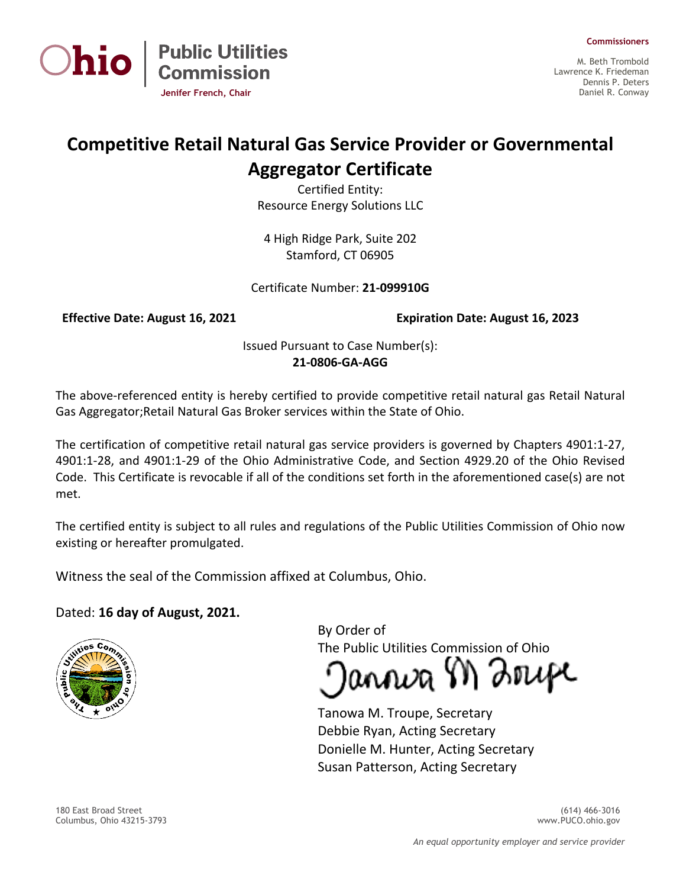



M. Beth Trombold Lawrence K. Friedeman Dennis P. Deters Daniel R. Conway

## **Competitive Retail Natural Gas Service Provider or Governmental Aggregator Certificate**

Certified Entity: Resource Energy Solutions LLC

4 High Ridge Park, Suite 202 Stamford, CT 06905

Certificate Number: **21-099910G**

**Jenifer French, Chair**

**Public Utilities<br>Commission** 

**Effective Date: August 16, 2021 Expiration Date: August 16, 2023**

Issued Pursuant to Case Number(s): **21-0806-GA-AGG**

The above-referenced entity is hereby certified to provide competitive retail natural gas Retail Natural Gas Aggregator;Retail Natural Gas Broker services within the State of Ohio.

The certification of competitive retail natural gas service providers is governed by Chapters 4901:1-27, 4901:1-28, and 4901:1-29 of the Ohio Administrative Code, and Section 4929.20 of the Ohio Revised Code. This Certificate is revocable if all of the conditions set forth in the aforementioned case(s) are not met.

The certified entity is subject to all rules and regulations of the Public Utilities Commission of Ohio now existing or hereafter promulgated.

Witness the seal of the Commission affixed at Columbus, Ohio.

## Dated: **16 day of August, 2021.**



By Order of The Public Utilities Commission of Ohio

annva M Zrupe

Tanowa M. Troupe, Secretary Debbie Ryan, Acting Secretary Donielle M. Hunter, Acting Secretary Susan Patterson, Acting Secretary

180 East Broad Street (614) 466-3016 Columbus, Ohio 43215-3793 www.PUCO.ohio.gov